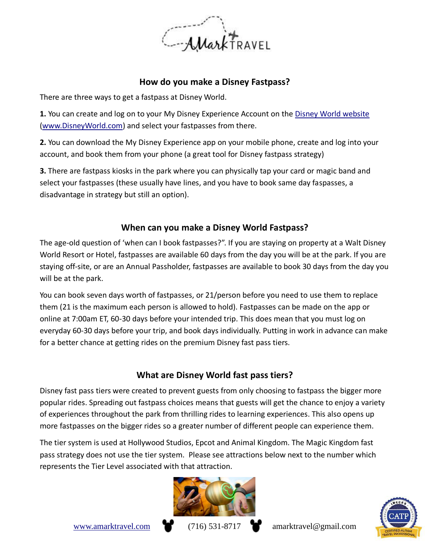

#### **How do you make a Disney Fastpass?**

There are three ways to get a fastpass at Disney World.

**1.** You can create and log on to your My Disney Experience Account on the [Disney World website](https://disneyworld.disney.go.com/en_CA/) [\(www.DisneyWorld.com\)](http://www.disneyworld.com/) and select your fastpasses from there.

**2.** You can download the My Disney Experience app on your mobile phone, create and log into your account, and book them from your phone (a great tool for Disney fastpass strategy)

**3.** There are fastpass kiosks in the park where you can physically tap your card or magic band and select your fastpasses (these usually have lines, and you have to book same day faspasses, a disadvantage in strategy but still an option).

#### **When can you make a Disney World Fastpass?**

The age-old question of 'when can I book fastpasses?". If you are staying on property at a Walt Disney World Resort or Hotel, fastpasses are available 60 days from the day you will be at the park. If you are staying off-site, or are an Annual Passholder, fastpasses are available to book 30 days from the day you will be at the park.

You can book seven days worth of fastpasses, or 21/person before you need to use them to replace them (21 is the maximum each person is allowed to hold). Fastpasses can be made on the app or online at 7:00am ET, 60-30 days before your intended trip. This does mean that you must log on everyday 60-30 days before your trip, and book days individually. Putting in work in advance can make for a better chance at getting rides on the premium Disney fast pass tiers.

#### **What are Disney World fast pass tiers?**

Disney fast pass tiers were created to prevent guests from only choosing to fastpass the bigger more popular rides. Spreading out fastpass choices means that guests will get the chance to enjoy a variety of experiences throughout the park from thrilling rides to learning experiences. This also opens up more fastpasses on the bigger rides so a greater number of different people can experience them.

The tier system is used at Hollywood Studios, Epcot and Animal Kingdom. The Magic Kingdom fast pass strategy does not use the tier system. Please see attractions below next to the number which represents the Tier Level associated with that attraction.



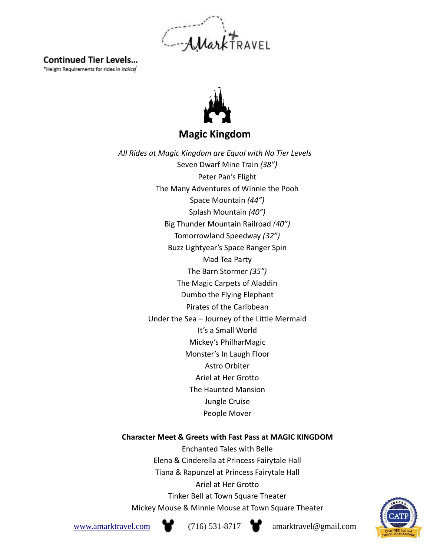MarkTRAVEL

### **Continued Tier Levels...**

\*Height Requirements for rides in Italics



**Magic Kingdom**

*All Rides at Magic Kingdom are Equal with No Tier Levels* Seven Dwarf Mine Train *(38")* Peter Pan's Flight The Many Adventures of Winnie the Pooh Space Mountain *(44")* Splash Mountain *(40")* Big Thunder Mountain Railroad *(40")* Tomorrowland Speedway *(32")* Buzz Lightyear's Space Ranger Spin Mad Tea Party The Barn Stormer *(35")* The Magic Carpets of Aladdin Dumbo the Flying Elephant Pirates of the Caribbean Under the Sea – Journey of the Little Mermaid It's a Small World Mickey's PhilharMagic Monster's In Laugh Floor Astro Orbiter Ariel at Her Grotto The Haunted Mansion Jungle Cruise People Mover

#### **Character Meet & Greets with Fast Pass at MAGIC KINGDOM**

Enchanted Tales with Belle Elena & Cinderella at Princess Fairytale Hall Tiana & Rapunzel at Princess Fairytale Hall Ariel at Her Grotto Tinker Bell at Town Square Theater Mickey Mouse & Minnie Mouse at Town Square Theater



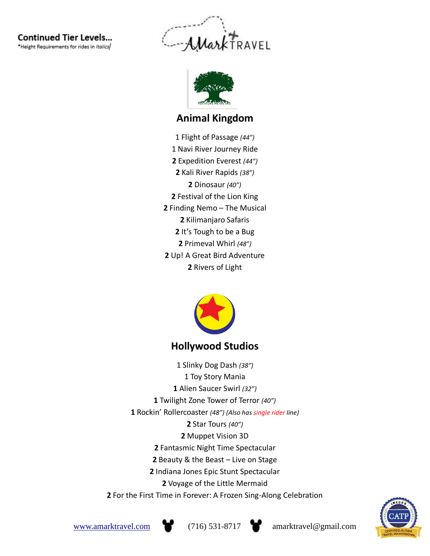**Continued Tier Levels...** \*Height Requirements for rides in Italics/





### **Animal Kingdom**

1 Flight of Passage *(44")* 1 Navi River Journey Ride Expedition Everest *(44")* Kali River Rapids *(38")* Dinosaur *(40")* Festival of the Lion King Finding Nemo – The Musical Kilimanjaro Safaris It's Tough to be a Bug Primeval Whirl *(48")* Up! A Great Bird Adventure Rivers of Light



### **Hollywood Studios**

1 Slinky Dog Dash *(38")* 1 Toy Story Mania Alien Saucer Swirl *(32")* Twilight Zone Tower of Terror *(40")* Rockin' Rollercoaster *(48") (Also has single rider line)* Star Tours *(40")* Muppet Vision 3D Fantasmic Night Time Spectacular Beauty & the Beast – Live on Stage Indiana Jones Epic Stunt Spectacular Voyage of the Little Mermaid For the First Time in Forever: A Frozen Sing-Along Celebration





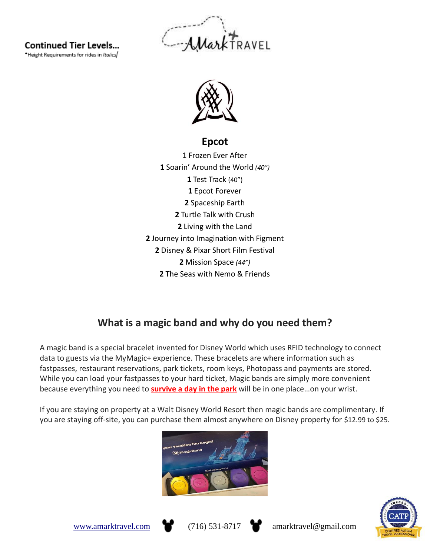**Continued Tier Levels...** 

\*Height Requirements for rides in Italics





### **Epcot**

1 Frozen Ever After Soarin' Around the World *(40")* Test Track (40") Epcot Forever Spaceship Earth Turtle Talk with Crush Living with the Land Journey into Imagination with Figment Disney & Pixar Short Film Festival Mission Space *(44")* The Seas with Nemo & Friends

### **What is a magic band and why do you need them?**

A magic band is a special bracelet invented for Disney World which uses RFID technology to connect data to guests via the MyMagic+ experience. These bracelets are where information such as fastpasses, restaurant reservations, park tickets, room keys, Photopass and payments are stored. While you can load your fastpasses to your hard ticket, Magic bands are simply more convenient because everything you need to **[survive](https://walkaboot.ca/disney/11-tips-to-enjoy-epcot/) a day in the park** will be in one place…on your wrist.

If you are staying on property at a Walt Disney World Resort then magic bands are complimentary. If you are staying off-site, you can purchase them almost anywhere on Disney property for \$12.99 to \$25.







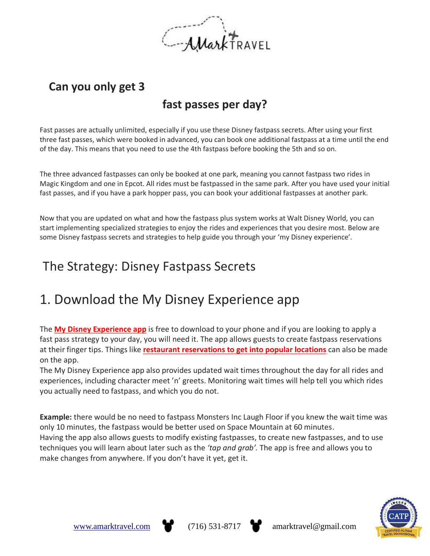

### **Can you only get 3**

### **fast passes per day?**

Fast passes are actually unlimited, especially if you use these Disney fastpass secrets. After using your first three fast passes, which were booked in advanced, you can book one additional fastpass at a time until the end of the day. This means that you need to use the 4th fastpass before booking the 5th and so on.

The three advanced fastpasses can only be booked at one park, meaning you cannot fastpass two rides in Magic Kingdom and one in Epcot. All rides must be fastpassed in the same park. After you have used your initial fast passes, and if you have a park hopper pass, you can book your additional fastpasses at another park.

Now that you are updated on what and how the fastpass plus system works at Walt Disney World, you can start implementing specialized strategies to enjoy the rides and experiences that you desire most. Below are some Disney fastpass secrets and strategies to help guide you through your 'my Disney experience'.

### The Strategy: Disney Fastpass Secrets

### 1. Download the My Disney Experience app

The **My Disney [Experience](https://disneyworld.disney.go.com/en_CA/plan/my-disney-experience/mobile-apps/) app** is free to download to your phone and if you are looking to apply a fast pass strategy to your day, you will need it. The app allows guests to create fastpass reservations at their finger tips. Things like **restaurant [reservations](https://walkaboot.ca/disney/12-character-meals-disney-adults/) to get into popular locations** can also be made on the app.

The My Disney Experience app also provides updated wait times throughout the day for all rides and experiences, including character meet 'n' greets. Monitoring wait times will help tell you which rides you actually need to fastpass, and which you do not.

**Example:** there would be no need to fastpass Monsters Inc Laugh Floor if you knew the wait time was only 10 minutes, the fastpass would be better used on Space Mountain at 60 minutes. Having the app also allows guests to modify existing fastpasses, to create new fastpasses, and to use techniques you will learn about later such as the *'tap and grab'.* The app is free and allows you to make changes from anywhere. If you don't have it yet, get it.



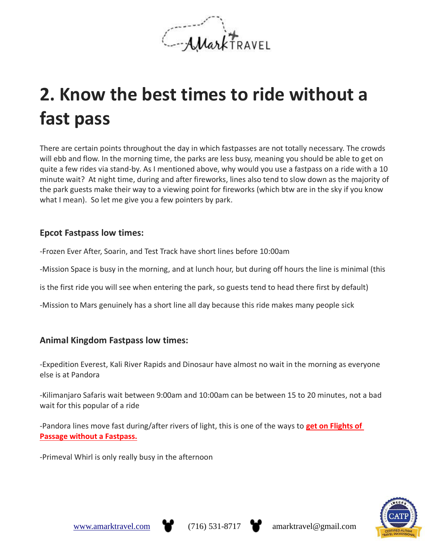

# **2. Know the best times to ride without a fast pass**

There are certain points throughout the day in which fastpasses are not totally necessary. The crowds will ebb and flow. In the morning time, the parks are less busy, meaning you should be able to get on quite a few rides via stand-by. As I mentioned above, why would you use a fastpass on a ride with a 10 minute wait? At night time, during and after fireworks, lines also tend to slow down as the majority of the park guests make their way to a viewing point for fireworks (which btw are in the sky if you know what I mean). So let me give you a few pointers by park.

#### **Epcot Fastpass low times:**

-Frozen Ever After, Soarin, and Test Track have short lines before 10:00am

-Mission Space is busy in the morning, and at lunch hour, but during off hours the line is minimal (this

is the first ride you will see when entering the park, so guests tend to head there first by default)

-Mission to Mars genuinely has a short line all day because this ride makes many people sick

#### **Animal Kingdom Fastpass low times:**

-Expedition Everest, Kali River Rapids and Dinosaur have almost no wait in the morning as everyone else is at Pandora

-Kilimanjaro Safaris wait between 9:00am and 10:00am can be between 15 to 20 minutes, not a bad wait for this popular of a ride

-Pandora lines move fast during/after rivers of light, this is one of the ways to **get on [Flights](https://walkaboot.ca/disney/flights-of-passage-without-a-fast-pass/) of Passage without a [Fastpass.](https://walkaboot.ca/disney/flights-of-passage-without-a-fast-pass/)**

-Primeval Whirl is only really busy in the afternoon



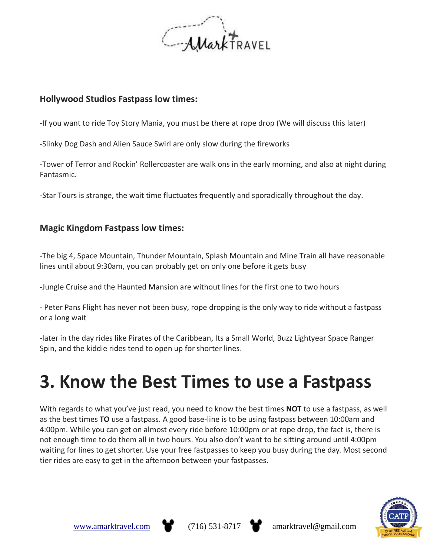

#### **Hollywood Studios Fastpass low times:**

-If you want to ride Toy Story Mania, you must be there at rope drop (We will discuss this later)

-Slinky Dog Dash and Alien Sauce Swirl are only slow during the fireworks

-Tower of Terror and Rockin' Rollercoaster are walk ons in the early morning, and also at night during Fantasmic.

-Star Tours is strange, the wait time fluctuates frequently and sporadically throughout the day.

#### **Magic Kingdom Fastpass low times:**

-The big 4, Space Mountain, Thunder Mountain, Splash Mountain and Mine Train all have reasonable lines until about 9:30am, you can probably get on only one before it gets busy

-Jungle Cruise and the Haunted Mansion are without lines for the first one to two hours

- Peter Pans Flight has never not been busy, rope dropping is the only way to ride without a fastpass or a long wait

-later in the day rides like Pirates of the Caribbean, Its a Small World, Buzz Lightyear Space Ranger Spin, and the kiddie rides tend to open up for shorter lines.

# **3. Know the Best Times to use a Fastpass**

With regards to what you've just read, you need to know the best times **NOT** to use a fastpass, as well as the best times **TO** use a fastpass. A good base-line is to be using fastpass between 10:00am and 4:00pm. While you can get on almost every ride before 10:00pm or at rope drop, the fact is, there is not enough time to do them all in two hours. You also don't want to be sitting around until 4:00pm waiting for lines to get shorter. Use your free fastpasses to keep you busy during the day. Most second tier rides are easy to get in the afternoon between your fastpasses.





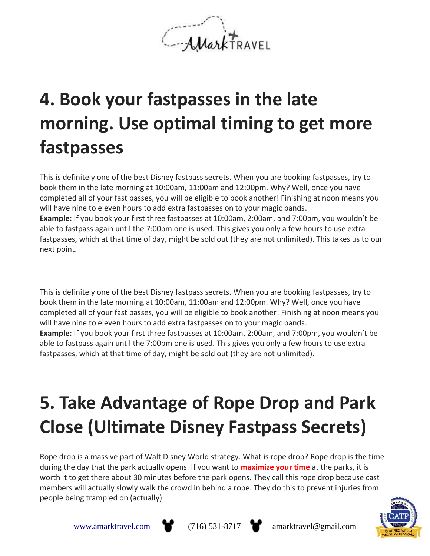MarkTRAVEL

# **4. Book your fastpasses in the late morning. Use optimal timing to get more fastpasses**

This is definitely one of the best Disney fastpass secrets. When you are booking fastpasses, try to book them in the late morning at 10:00am, 11:00am and 12:00pm. Why? Well, once you have completed all of your fast passes, you will be eligible to book another! Finishing at noon means you will have nine to eleven hours to add extra fastpasses on to your magic bands. **Example:** If you book your first three fastpasses at 10:00am, 2:00am, and 7:00pm, you wouldn't be able to fastpass again until the 7:00pm one is used. This gives you only a few hours to use extra fastpasses, which at that time of day, might be sold out (they are not unlimited). This takes us to our next point.

This is definitely one of the best Disney fastpass secrets. When you are booking fastpasses, try to book them in the late morning at 10:00am, 11:00am and 12:00pm. Why? Well, once you have completed all of your fast passes, you will be eligible to book another! Finishing at noon means you will have nine to eleven hours to add extra fastpasses on to your magic bands. **Example:** If you book your first three fastpasses at 10:00am, 2:00am, and 7:00pm, you wouldn't be able to fastpass again until the 7:00pm one is used. This gives you only a few hours to use extra fastpasses, which at that time of day, might be sold out (they are not unlimited).

# **5. Take Advantage of Rope Drop and Park Close (Ultimate Disney Fastpass Secrets)**

Rope drop is a massive part of Walt Disney World strategy. What is rope drop? Rope drop is the time during the day that the park actually opens. If you want to **[maximize](https://walkaboot.ca/disney/maximize-time-at-magic-kingdom/) your time** at the parks, it is worth it to get there about 30 minutes before the park opens. They call this rope drop because cast members will actually slowly walk the crowd in behind a rope. They do this to prevent injuries from people being trampled on (actually).





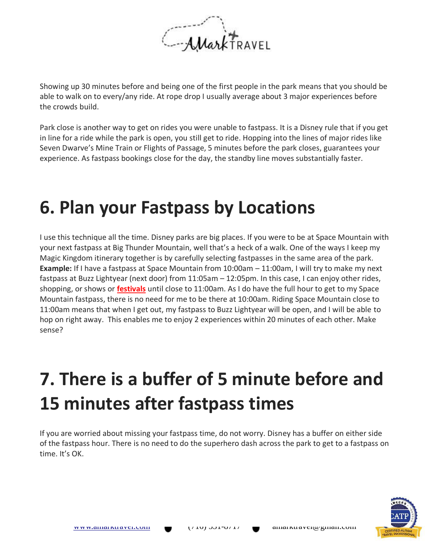

Showing up 30 minutes before and being one of the first people in the park means that you should be able to walk on to every/any ride. At rope drop I usually average about 3 major experiences before the crowds build.

Park close is another way to get on rides you were unable to fastpass. It is a Disney rule that if you get in line for a ride while the park is open, you still get to ride. Hopping into the lines of major rides like Seven Dwarve's Mine Train or Flights of Passage, 5 minutes before the park closes, guarantees your experience. As fastpass bookings close for the day, the standby line moves substantially faster.

### **6. Plan your Fastpass by Locations**

I use this technique all the time. Disney parks are big places. If you were to be at Space Mountain with your next fastpass at Big Thunder Mountain, well that's a heck of a walk. One of the ways I keep my Magic Kingdom itinerary together is by carefully selecting fastpasses in the same area of the park. **Example:** If I have a fastpass at Space Mountain from 10:00am – 11:00am, I will try to make my next fastpass at Buzz Lightyear (next door) from 11:05am – 12:05pm. In this case, I can enjoy other rides, shopping, or shows or **[festivals](https://walkaboot.ca/disney/epcot-festivals-guide/)** until close to 11:00am. As I do have the full hour to get to my Space Mountain fastpass, there is no need for me to be there at 10:00am. Riding Space Mountain close to 11:00am means that when I get out, my fastpass to Buzz Lightyear will be open, and I will be able to hop on right away. This enables me to enjoy 2 experiences within 20 minutes of each other. Make sense?

## **7. There is a buffer of 5 minute before and 15 minutes after fastpass times**

If you are worried about missing your fastpass time, do not worry. Disney has a buffer on either side of the fastpass hour. There is no need to do the superhero dash across the park to get to a fastpass on time. It's OK.

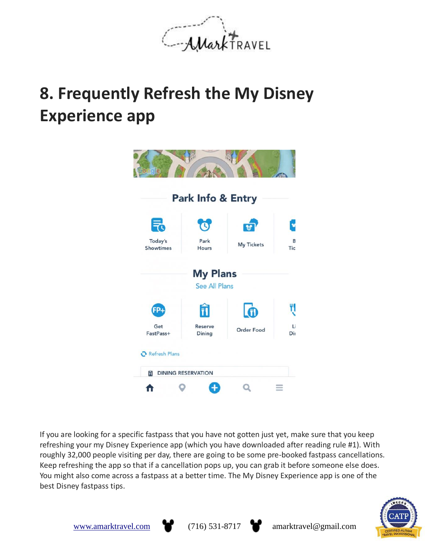

### **8. Frequently Refresh the My Disney Experience app**



If you are looking for a specific fastpass that you have not gotten just yet, make sure that you keep refreshing your my Disney Experience app (which you have downloaded after reading rule #1). With roughly 32,000 people visiting per day, there are going to be some pre-booked fastpass cancellations. Keep refreshing the app so that if a cancellation pops up, you can grab it before someone else does. You might also come across a fastpass at a better time. The My Disney Experience app is one of the best Disney fastpass tips.





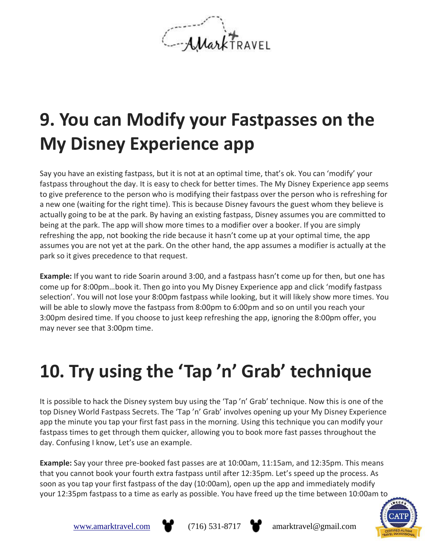AMark TRAVEL

## **9. You can Modify your Fastpasses on the My Disney Experience app**

Say you have an existing fastpass, but it is not at an optimal time, that's ok. You can 'modify' your fastpass throughout the day. It is easy to check for better times. The My Disney Experience app seems to give preference to the person who is modifying their fastpass over the person who is refreshing for a new one (waiting for the right time). This is because Disney favours the guest whom they believe is actually going to be at the park. By having an existing fastpass, Disney assumes you are committed to being at the park. The app will show more times to a modifier over a booker. If you are simply refreshing the app, not booking the ride because it hasn't come up at your optimal time, the app assumes you are not yet at the park. On the other hand, the app assumes a modifier is actually at the park so it gives precedence to that request.

**Example:** If you want to ride Soarin around 3:00, and a fastpass hasn't come up for then, but one has come up for 8:00pm…book it. Then go into you My Disney Experience app and click 'modify fastpass selection'. You will not lose your 8:00pm fastpass while looking, but it will likely show more times. You will be able to slowly move the fastpass from 8:00pm to 6:00pm and so on until you reach your 3:00pm desired time. If you choose to just keep refreshing the app, ignoring the 8:00pm offer, you may never see that 3:00pm time.

# **10. Try using the 'Tap 'n' Grab' technique**

It is possible to hack the Disney system buy using the 'Tap 'n' Grab' technique. Now this is one of the top Disney World Fastpass Secrets. The 'Tap 'n' Grab' involves opening up your My Disney Experience app the minute you tap your first fast pass in the morning. Using this technique you can modify your fastpass times to get through them quicker, allowing you to book more fast passes throughout the day. Confusing I know, Let's use an example.

**Example:** Say your three pre-booked fast passes are at 10:00am, 11:15am, and 12:35pm. This means that you cannot book your fourth extra fastpass until after 12:35pm. Let's speed up the process. As soon as you tap your first fastpass of the day (10:00am), open up the app and immediately modify your 12:35pm fastpass to a time as early as possible. You have freed up the time between 10:00am to





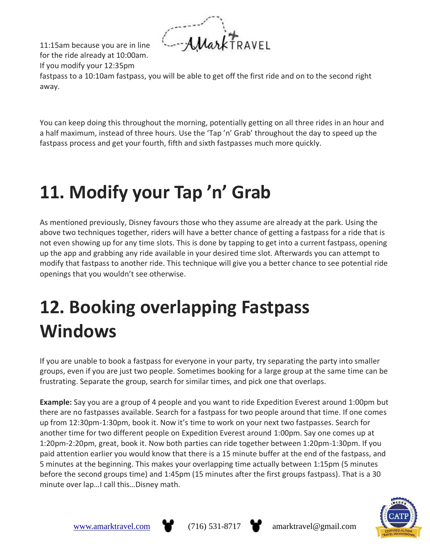Mark TRAVEL

11:15am because you are in line for the ride already at 10:00am. If you modify your 12:35pm

fastpass to a 10:10am fastpass, you will be able to get off the first ride and on to the second right away.

You can keep doing this throughout the morning, potentially getting on all three rides in an hour and a half maximum, instead of three hours. Use the 'Tap 'n' Grab' throughout the day to speed up the fastpass process and get your fourth, fifth and sixth fastpasses much more quickly.

# **11. Modify your Tap 'n' Grab**

As mentioned previously, Disney favours those who they assume are already at the park. Using the above two techniques together, riders will have a better chance of getting a fastpass for a ride that is not even showing up for any time slots. This is done by tapping to get into a current fastpass, opening up the app and grabbing any ride available in your desired time slot. Afterwards you can attempt to modify that fastpass to another ride. This technique will give you a better chance to see potential ride openings that you wouldn't see otherwise.

# **12. Booking overlapping Fastpass Windows**

If you are unable to book a fastpass for everyone in your party, try separating the party into smaller groups, even if you are just two people. Sometimes booking for a large group at the same time can be frustrating. Separate the group, search for similar times, and pick one that overlaps.

**Example:** Say you are a group of 4 people and you want to ride Expedition Everest around 1:00pm but there are no fastpasses available. Search for a fastpass for two people around that time. If one comes up from 12:30pm-1:30pm, book it. Now it's time to work on your next two fastpasses. Search for another time for two different people on Expedition Everest around 1:00pm. Say one comes up at 1:20pm-2:20pm, great, book it. Now both parties can ride together between 1:20pm-1:30pm. If you paid attention earlier you would know that there is a 15 minute buffer at the end of the fastpass, and 5 minutes at the beginning. This makes your overlapping time actually between 1:15pm (5 minutes before the second groups time) and 1:45pm (15 minutes after the first groups fastpass). That is a 30 minute over lap…I call this…Disney math.